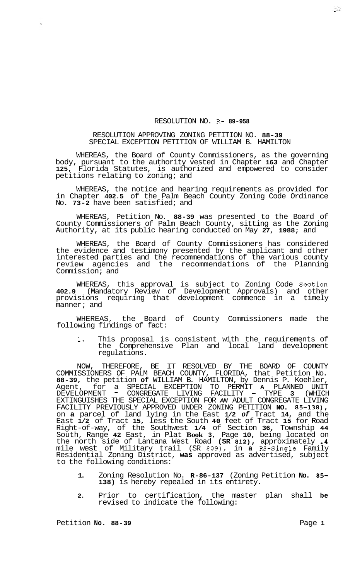## RESOLUTION NO. R- **89-958**

## RESOLUTION APPROVING ZONING PETITION NO. **88-39**  SPECIAL EXCEPTION PETITION OF WILLIAM B. HAMILTON

WHEREAS, the Board of County Commissioners, as the governing body, pursuant to the authority vested in Chapter **163** and Chapter **125,** Florida Statutes, is authorized and empowered to consider petitions relating to zoning; and

WHEREAS, the notice and hearing requirements as provided for in Chapter **402.5** of the Palm Beach County Zoning Code Ordinance No. **73-2** have been satisfied; and

WHEREAS, Petition No. **88-39** was presented to the Board of County Commissioners of Palm Beach County, sitting as the Zoning Authority, at its public hearing conducted on May **27, 1988;** and

WHEREAS, the Board of County Commissioners has considered the evidence and testimony presented by the applicant and other interested parties and the recommendations of the various county review agencies and the recommendations of the Planning Commission; and

WHEREAS, this approval is subject to Zoning Code Section **402.9** (Mandatory Review of Development Approvals) and other provisions requiring that development commence in a timely manner; and

WHEREAS, the Board of County Commissioners made the following findings of fact:

**1.** This proposal is consistent with the requirements of the Comprehensive Plan and local land development regulations.

NOW, THEREFORE, BE IT RESOLVED BY THE BOARD OF COUNTY COMMISSIONERS OF PALM BEACH COUNTY, FLORIDA, that Petition No. **88-39,** the petition **of** WILLIAM B. HAMILTON, by Dennis P. Koehler, Agent, for a SPECIAL EXCEPTION TO PERMIT **A** PLANNED UNIT DEVELOPMENT - CONGREGATE LIVING FACILITY - TYPE **3** (WHICH EXTINGUISHES THE SPECIAL EXCEPTION FOR *AN* ADULT CONGREGATE LIVING FACILITY PREVIOUSLY APPROVED UNDER ZONING PETITION **NO. 85-138),**  on **a** parcel of land lying in the East **1/2** *of* Tract **14,** and the East **1/2** of Tract **15,** less the South **40** feet of Tract **15** for Road Right-of-way, of the Southwest **1/4** of Section **36,** Township **44**  South, Range **42** East, in Plat **Book 3,** Page **10,** being located on the north side of Lantana West Road **(SR 812),** approximately **.4**  mile west of Military trail (SR **809),** in **a** RS-Single Family Residential Zoning District, **was** approved as advertised, subject to the following conditions:

- **1.** Zoning Resolution No. **R-86-137** (Zoning Petition **No. 85- 138)** is hereby repealed in its entirety.
- **2.** Prior to certification, the master plan shall **be**  revised to indicate the following: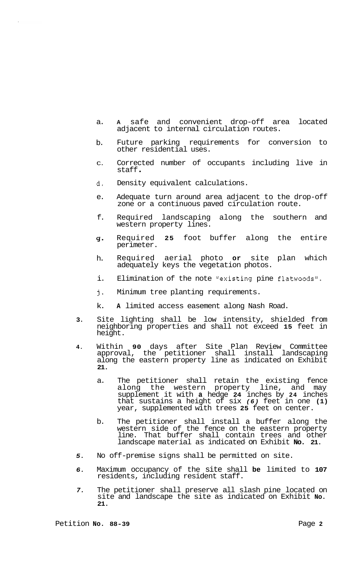- a. **<sup>A</sup>**safe and convenient drop-off area located adjacent to internal circulation routes.
- b. Future parking requirements for conversion to other residential uses.
- C. Corrected number of occupants including live in staff .
- d. Density equivalent calculations.
- $\theta$ . Adequate turn around area adjacent to the drop-off zone or a continuous paved circulation route.
- f. Required landscaping along the southern and western property lines.
- 4. Required **25** foot buffer along the entire perimeter.
- h. Required aerial photo **or** site plan which adequately keys the vegetation photos.
- i. Elimination of the note "existing pine flatwoods".
- j. Minimum tree planting requirements.
- k. **A** limited access easement along Nash Road.
- **3.** Site lighting shall be low intensity, shielded from neighboring properties and shall not exceed **15** feet in height.
- **4.** Within **90** days after Site Plan Review Committee approval, the petitioner shall install landscaping along the eastern property line as indicated on Exhibit **21.** 
	- a. The petitioner shall retain the existing fence along the western property line, and may supplement it with **a** hedge **24** inches by **24** inches that sustains a height of six *(6)* feet in one **(1)**  year, supplemented with trees **25** feet on center.
	- b. The petitioner shall install a buffer along the western side of the fence on the eastern property line. That buffer shall contain trees and other landscape material as indicated- on Exhibit **No. 21.**
- *5.* No off-premise signs shall be permitted on site.
- *6.* Maximum occupancy of the site shall **be** limited to **107**  residents, including resident staff.
- *7.* The petitioner shall preserve all slash pine located on site and landscape the site as indicated on Exhibit **No. 21.**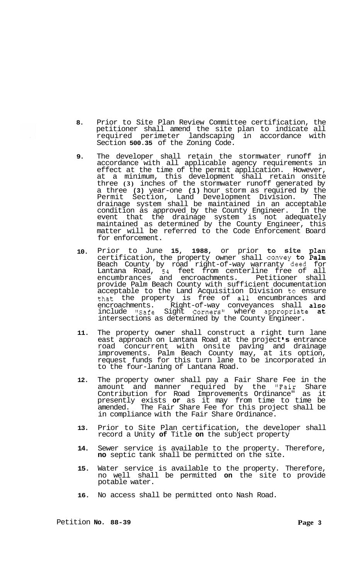- **8.** Prior to Site Plan Review Committee certification, the petitioner shall amend the site plan to indicate all required perimeter landscaping in accordance with Section **500.35** of the Zoning Code.
- **9.** The developer shall retain the stormwater runoff in accordance with all applicable agency requirements in effect at the time of the permit application. However, at a minimum, this development shall retain onsite three **(3)** inches of the stormwater runoff generated by a three **(3)** year-one **(1)** hour storm as required by the Permit Section, Land Development Division. The drainage system shall be maintained in an acceptable condition as approved by the County Engineer. In the event that the drainage system is not adequately maintained as determined by the County Engineer, this matter will be referred to the Code Enforcement Board for enforcement.
- **10.** Prior to June **15, 1988,** or prior to site plan certification, the property owner shall convey to Palm Beach County by road right-of-way warranty deed for Lantana Road, **54** feet from centerline free of all encumbrances and encroachments. Petitioner shall provide Palm Beach County with sufficient documentation acceptable to the Land Acquisition Division to ensure that the property is free of all encumbrances and encroachments. Right-of-way conveyances shall also include "Safe Sight Corners" where appropriate at intersections as determined by the County Engineer.
- **11.** The property owner shall construct a right turn lane east approach on Lantana Road at the project **s** entrance road concurrent with onsite paving and drainage improvements. Palm Beach County may, at its option, request funds for this turn lane to be incorporated in to the four-laning of Lantana Road.
- **12.** The property owner shall pay a Fair Share Fee in the amount and manner required by the "Fair Share Contribution for Road Improvements Ordinance" as it presently exists **or** as it may from time to time be amended. The Fair Share Fee for this project shall be in compliance with the Fair Share Ordinance.
- **13.** Prior to Site Plan certification, the developer shall record a Unity **of** Title **on** the subject property
- **14.** Sewer service is available to the property. Therefore, **no** septic tank shall be permitted on the site.
- **15.** Water service is available to the property. Therefore, no well shall be permitted **on** the site to provide potable water.
- **16.** No access shall be permitted onto Nash Road.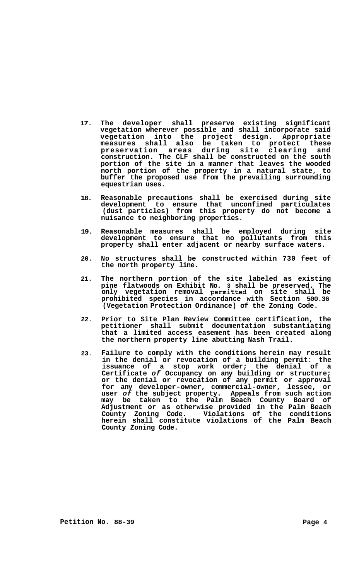- **17. The developer shall preserve existing significant vegetation wherever possible and shall incorporate said vegetation into the project design. Appropriate measures shall also be taken to protect these preservation areas during site clearing and construction. The CLF shall be constructed on the south portion of the site in a manner that leaves the wooded north portion of the property in a natural state, to buffer the proposed use from the prevailing surrounding equestrian uses.**
- **18. Reasonable precautions shall be exercised during site development to ensure that unconfined particulates (dust particles) from this property do not become a nuisance to neighboring properties.**
- **19. Reasonable measures shall be employed during site development to ensure that no pollutants from this property shall enter adjacent or nearby surface waters.**
- **20. No structures shall be constructed within 730 feet of the north property line.**
- **21. The northern portion of the site labeled as existing pine flatwoods on Exhibit No. 3 shall be preserved. The only vegetation removal permitted on site shall be prohibited species in accordance with Section 500.36 (Vegetation Protection Ordinance) of the Zoning Code.**
- **22. Prior to Site Plan Review Committee certification, the petitioner shall submit documentation substantiating that a limited access easement has been created along the northern property line abutting Nash Trail.**
- **23. Failure to comply with the conditions herein may result in the denial or revocation of a building permit: the issuance of a stop work order; the denial of a Certificate** *of* **Occupancy on any building or structure; or the denial or revocation of any permit or approval for any developer-owner, commercial-owner, lessee, or user** *of* **the subject property. Appeals from such action may be taken to the Palm Beach County Board of Adjustment or as otherwise provided in the Palm Beach County Zoning Code. Violations of the conditions herein shall constitute violations of the Palm Beach County Zoning Code.**